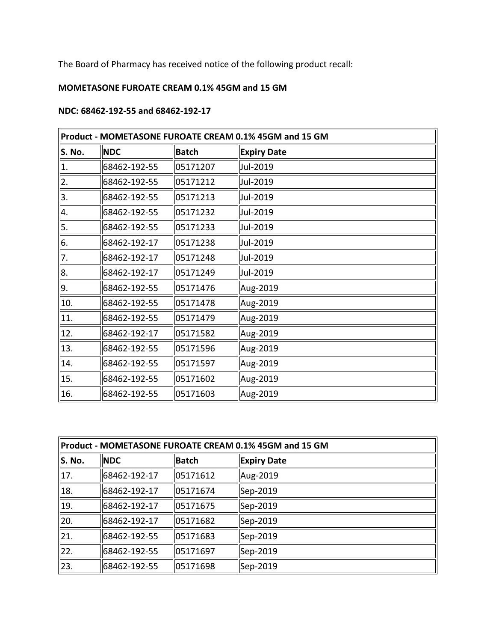The Board of Pharmacy has received notice of the following product recall:

## **MOMETASONE FUROATE CREAM 0.1% 45GM and 15 GM**

## **NDC: 68462-192-55 and 68462-192-17**

| Product - MOMETASONE FUROATE CREAM 0.1% 45GM and 15 GM |              |              |                    |
|--------------------------------------------------------|--------------|--------------|--------------------|
| S. No.                                                 | <b>NDC</b>   | <b>Batch</b> | <b>Expiry Date</b> |
| 1.                                                     | 68462-192-55 | 05171207     | Jul-2019           |
| 2.                                                     | 68462-192-55 | 05171212     | Jul-2019           |
| 3.                                                     | 68462-192-55 | 05171213     | Jul-2019           |
| 4.                                                     | 68462-192-55 | 05171232     | Jul-2019           |
| 5.                                                     | 68462-192-55 | 05171233     | Jul-2019           |
| 6.                                                     | 68462-192-17 | 05171238     | Jul-2019           |
| 7.                                                     | 68462-192-17 | 05171248     | Jul-2019           |
| 8.                                                     | 68462-192-17 | 05171249     | Jul-2019           |
| 9.                                                     | 68462-192-55 | 05171476     | Aug-2019           |
| 10.                                                    | 68462-192-55 | 05171478     | Aug-2019           |
| 11.                                                    | 68462-192-55 | 05171479     | Aug-2019           |
| 12.                                                    | 68462-192-17 | 05171582     | Aug-2019           |
| 13.                                                    | 68462-192-55 | 05171596     | Aug-2019           |
| 14.                                                    | 68462-192-55 | 05171597     | Aug-2019           |
| 15.                                                    | 68462-192-55 | 05171602     | Aug-2019           |
| 16.                                                    | 68462-192-55 | 05171603     | Aug-2019           |

| Product - MOMETASONE FUROATE CREAM 0.1% 45GM and 15 GM |              |              |                    |
|--------------------------------------------------------|--------------|--------------|--------------------|
| S. No.                                                 | <b>NDC</b>   | <b>Batch</b> | <b>Expiry Date</b> |
| 17.                                                    | 68462-192-17 | 05171612     | Aug-2019           |
| 18.                                                    | 68462-192-17 | 05171674     | Sep-2019           |
| 19.                                                    | 68462-192-17 | 05171675     | Sep-2019           |
| 20.                                                    | 68462-192-17 | 05171682     | Sep-2019           |
| 21.                                                    | 68462-192-55 | 05171683     | Sep-2019           |
| 22.                                                    | 68462-192-55 | 05171697     | Sep-2019           |
| 23.                                                    | 68462-192-55 | 05171698     | Sep-2019           |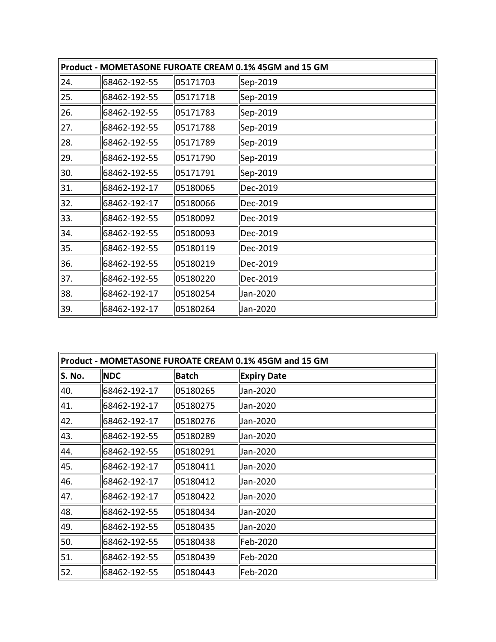| Product - MOMETASONE FUROATE CREAM 0.1% 45GM and 15 GM |              |          |          |
|--------------------------------------------------------|--------------|----------|----------|
| 24.                                                    | 68462-192-55 | 05171703 | Sep-2019 |
| 25.                                                    | 68462-192-55 | 05171718 | Sep-2019 |
| 26.                                                    | 68462-192-55 | 05171783 | Sep-2019 |
| 27.                                                    | 68462-192-55 | 05171788 | Sep-2019 |
| 28.                                                    | 68462-192-55 | 05171789 | Sep-2019 |
| 29.                                                    | 68462-192-55 | 05171790 | Sep-2019 |
| 30.                                                    | 68462-192-55 | 05171791 | Sep-2019 |
| 31.                                                    | 68462-192-17 | 05180065 | Dec-2019 |
| 32.                                                    | 68462-192-17 | 05180066 | Dec-2019 |
| 33.                                                    | 68462-192-55 | 05180092 | Dec-2019 |
| 34.                                                    | 68462-192-55 | 05180093 | Dec-2019 |
| 35.                                                    | 68462-192-55 | 05180119 | Dec-2019 |
| 36.                                                    | 68462-192-55 | 05180219 | Dec-2019 |
| 37.                                                    | 68462-192-55 | 05180220 | Dec-2019 |
| 38.                                                    | 68462-192-17 | 05180254 | Jan-2020 |
| 39.                                                    | 68462-192-17 | 05180264 | Jan-2020 |

| Product - MOMETASONE FUROATE CREAM 0.1% 45GM and 15 GM |              |              |                    |
|--------------------------------------------------------|--------------|--------------|--------------------|
| S. No.                                                 | <b>NDC</b>   | <b>Batch</b> | <b>Expiry Date</b> |
| 40.                                                    | 68462-192-17 | 05180265     | Jan-2020           |
| 41.                                                    | 68462-192-17 | 05180275     | Jan-2020           |
| 42.                                                    | 68462-192-17 | 05180276     | Jan-2020           |
| 43.                                                    | 68462-192-55 | 05180289     | Jan-2020           |
| 44.                                                    | 68462-192-55 | 05180291     | Jan-2020           |
| 45.                                                    | 68462-192-17 | 05180411     | Jan-2020           |
| 46.                                                    | 68462-192-17 | 05180412     | Jan-2020           |
| 47.                                                    | 68462-192-17 | 05180422     | Jan-2020           |
| 48.                                                    | 68462-192-55 | 05180434     | Jan-2020           |
| 49.                                                    | 68462-192-55 | 05180435     | Jan-2020           |
| 50.                                                    | 68462-192-55 | 05180438     | Feb-2020           |
| 51.                                                    | 68462-192-55 | 05180439     | Feb-2020           |
| 52.                                                    | 68462-192-55 | 05180443     | Feb-2020           |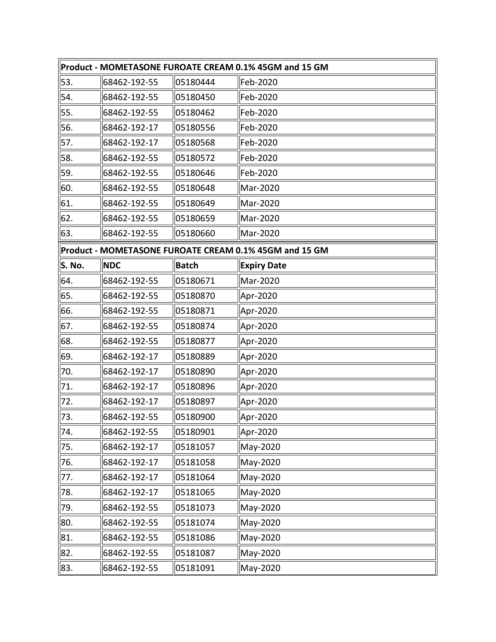| Product - MOMETASONE FUROATE CREAM 0.1% 45GM and 15 GM |              |              |                                                        |
|--------------------------------------------------------|--------------|--------------|--------------------------------------------------------|
| 53.                                                    | 68462-192-55 | 05180444     | Feb-2020                                               |
| 54.                                                    | 68462-192-55 | 05180450     | Feb-2020                                               |
| 55.                                                    | 68462-192-55 | 05180462     | Feb-2020                                               |
| 56.                                                    | 68462-192-17 | 05180556     | Feb-2020                                               |
| 57.                                                    | 68462-192-17 | 05180568     | Feb-2020                                               |
| 58.                                                    | 68462-192-55 | 05180572     | Feb-2020                                               |
| 59.                                                    | 68462-192-55 | 05180646     | Feb-2020                                               |
| 60.                                                    | 68462-192-55 | 05180648     | Mar-2020                                               |
| 61.                                                    | 68462-192-55 | 05180649     | Mar-2020                                               |
| 62.                                                    | 68462-192-55 | 05180659     | Mar-2020                                               |
| 63.                                                    | 68462-192-55 | 05180660     | Mar-2020                                               |
|                                                        |              |              | Product - MOMETASONE FUROATE CREAM 0.1% 45GM and 15 GM |
| S. No.                                                 | <b>NDC</b>   | <b>Batch</b> | <b>Expiry Date</b>                                     |
| 64.                                                    | 68462-192-55 | 05180671     | Mar-2020                                               |
| 65.                                                    | 68462-192-55 | 05180870     | Apr-2020                                               |
| 66.                                                    | 68462-192-55 | 05180871     | Apr-2020                                               |
| 67.                                                    | 68462-192-55 | 05180874     | Apr-2020                                               |
| 68.                                                    | 68462-192-55 | 05180877     | Apr-2020                                               |
| 69.                                                    | 68462-192-17 | 05180889     | Apr-2020                                               |
| 70.                                                    | 68462-192-17 | 05180890     | Apr-2020                                               |
| 71.                                                    | 68462-192-17 | 05180896     | Apr-2020                                               |
| 72.                                                    | 68462-192-17 | 05180897     | Apr-2020                                               |
| 73.                                                    | 68462-192-55 | 05180900     | Apr-2020                                               |
| 74.                                                    | 68462-192-55 | 05180901     | Apr-2020                                               |
| 75.                                                    | 68462-192-17 | 05181057     | May-2020                                               |
| 76.                                                    | 68462-192-17 | 05181058     | May-2020                                               |
| 77.                                                    | 68462-192-17 | 05181064     | May-2020                                               |
| 78.                                                    | 68462-192-17 | 05181065     | May-2020                                               |
| 79.                                                    | 68462-192-55 | 05181073     | May-2020                                               |
| 80.                                                    | 68462-192-55 | 05181074     | May-2020                                               |
| 81.                                                    | 68462-192-55 | 05181086     | May-2020                                               |
| 82.                                                    | 68462-192-55 | 05181087     | May-2020                                               |
| 83.                                                    | 68462-192-55 | 05181091     | May-2020                                               |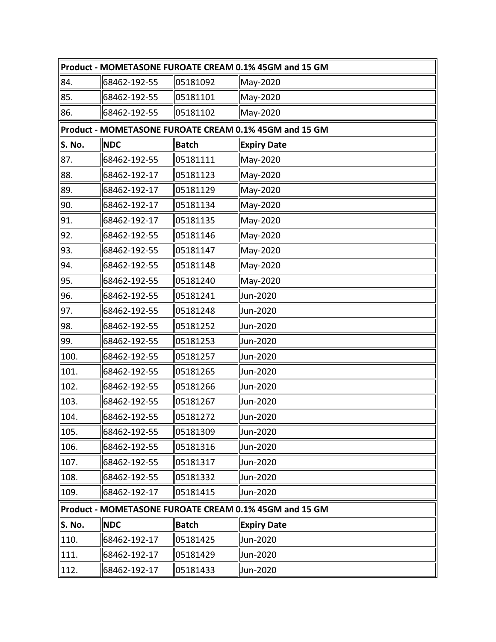| Product - MOMETASONE FUROATE CREAM 0.1% 45GM and 15 GM |                                                        |              |                    |  |  |
|--------------------------------------------------------|--------------------------------------------------------|--------------|--------------------|--|--|
| 84.                                                    | 68462-192-55                                           | 05181092     | May-2020           |  |  |
| 85.                                                    | 68462-192-55                                           | 05181101     | May-2020           |  |  |
| 86.                                                    | 68462-192-55                                           | 05181102     | May-2020           |  |  |
|                                                        | Product - MOMETASONE FUROATE CREAM 0.1% 45GM and 15 GM |              |                    |  |  |
| S. No.                                                 | <b>NDC</b>                                             | <b>Batch</b> | <b>Expiry Date</b> |  |  |
| 87.                                                    | 68462-192-55                                           | 05181111     | May-2020           |  |  |
| 88.                                                    | 68462-192-17                                           | 05181123     | May-2020           |  |  |
| 89.                                                    | 68462-192-17                                           | 05181129     | May-2020           |  |  |
| 90.                                                    | 68462-192-17                                           | 05181134     | May-2020           |  |  |
| 91.                                                    | 68462-192-17                                           | 05181135     | May-2020           |  |  |
| 92.                                                    | 68462-192-55                                           | 05181146     | May-2020           |  |  |
| 93.                                                    | 68462-192-55                                           | 05181147     | May-2020           |  |  |
| 94.                                                    | 68462-192-55                                           | 05181148     | May-2020           |  |  |
| 95.                                                    | 68462-192-55                                           | 05181240     | May-2020           |  |  |
| 96.                                                    | 68462-192-55                                           | 05181241     | Jun-2020           |  |  |
| 97.                                                    | 68462-192-55                                           | 05181248     | Jun-2020           |  |  |
| 98.                                                    | 68462-192-55                                           | 05181252     | Jun-2020           |  |  |
| 99.                                                    | 68462-192-55                                           | 05181253     | Jun-2020           |  |  |
| 100.                                                   | 68462-192-55                                           | 05181257     | Jun-2020           |  |  |
| 101.                                                   | 68462-192-55                                           | 05181265     | Jun-2020           |  |  |
| 102.                                                   | 68462-192-55                                           | 05181266     | Jun-2020           |  |  |
| 103.                                                   | 68462-192-55                                           | 05181267     | Jun-2020           |  |  |
| 104.                                                   | 68462-192-55                                           | 05181272     | Jun-2020           |  |  |
| 105.                                                   | 68462-192-55                                           | 05181309     | Jun-2020           |  |  |
| 106.                                                   | 68462-192-55                                           | 05181316     | Jun-2020           |  |  |
| 107.                                                   | 68462-192-55                                           | 05181317     | Jun-2020           |  |  |
| 108.                                                   | 68462-192-55                                           | 05181332     | Jun-2020           |  |  |
| 109.                                                   | 68462-192-17                                           | 05181415     | Jun-2020           |  |  |
| Product - MOMETASONE FUROATE CREAM 0.1% 45GM and 15 GM |                                                        |              |                    |  |  |
| S. No.                                                 | <b>NDC</b>                                             | <b>Batch</b> | <b>Expiry Date</b> |  |  |
| 110.                                                   | 68462-192-17                                           | 05181425     | Jun-2020           |  |  |
| 111.                                                   | 68462-192-17                                           | 05181429     | Jun-2020           |  |  |
| 112.                                                   | 68462-192-17                                           | 05181433     | Jun-2020           |  |  |